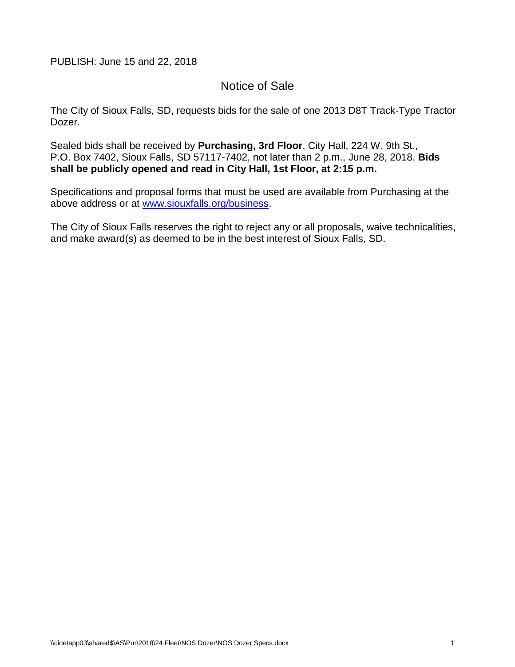PUBLISH: June 15 and 22, 2018

# Notice of Sale

The City of Sioux Falls, SD, requests bids for the sale of one 2013 D8T Track-Type Tractor Dozer.

Sealed bids shall be received by **Purchasing, 3rd Floor**, City Hall, 224 W. 9th St., P.O. Box 7402, Sioux Falls, SD 57117-7402, not later than 2 p.m., June 28, 2018. **Bids shall be publicly opened and read in City Hall, 1st Floor, at 2:15 p.m.**

Specifications and proposal forms that must be used are available from Purchasing at the above address or at [www.siouxfalls.org/business.](http://www.siouxfalls.org/business)

The City of Sioux Falls reserves the right to reject any or all proposals, waive technicalities, and make award(s) as deemed to be in the best interest of Sioux Falls, SD.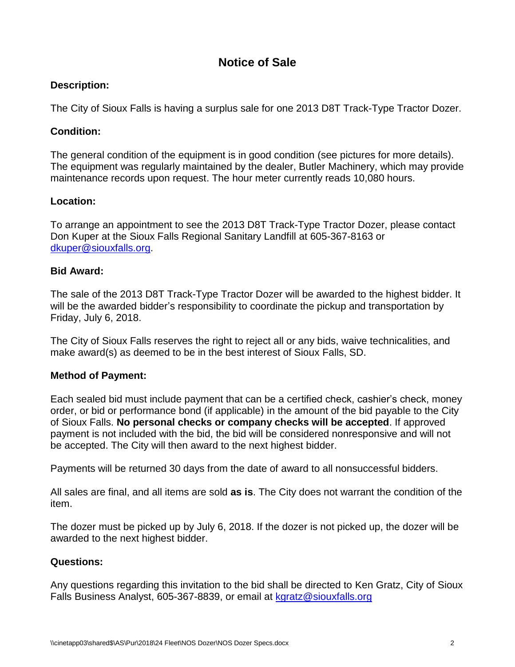# **Notice of Sale**

## **Description:**

The City of Sioux Falls is having a surplus sale for one 2013 D8T Track-Type Tractor Dozer.

## **Condition:**

The general condition of the equipment is in good condition (see pictures for more details). The equipment was regularly maintained by the dealer, Butler Machinery, which may provide maintenance records upon request. The hour meter currently reads 10,080 hours.

#### **Location:**

To arrange an appointment to see the 2013 D8T Track-Type Tractor Dozer, please contact Don Kuper at the Sioux Falls Regional Sanitary Landfill at 605-367-8163 or [dkuper@siouxfalls.org.](mailto:dkuper@siouxfalls.org)

#### **Bid Award:**

The sale of the 2013 D8T Track-Type Tractor Dozer will be awarded to the highest bidder. It will be the awarded bidder's responsibility to coordinate the pickup and transportation by Friday, July 6, 2018.

The City of Sioux Falls reserves the right to reject all or any bids, waive technicalities, and make award(s) as deemed to be in the best interest of Sioux Falls, SD.

# **Method of Payment:**

Each sealed bid must include payment that can be a certified check, cashier's check, money order, or bid or performance bond (if applicable) in the amount of the bid payable to the City of Sioux Falls. **No personal checks or company checks will be accepted**. If approved payment is not included with the bid, the bid will be considered nonresponsive and will not be accepted. The City will then award to the next highest bidder.

Payments will be returned 30 days from the date of award to all nonsuccessful bidders.

All sales are final, and all items are sold **as is**. The City does not warrant the condition of the item.

The dozer must be picked up by July 6, 2018. If the dozer is not picked up, the dozer will be awarded to the next highest bidder.

# **Questions:**

Any questions regarding this invitation to the bid shall be directed to Ken Gratz, City of Sioux Falls Business Analyst, 605-367-8839, or email at [kgratz@siouxfalls.org](mailto:kgratz@siouxfalls.org)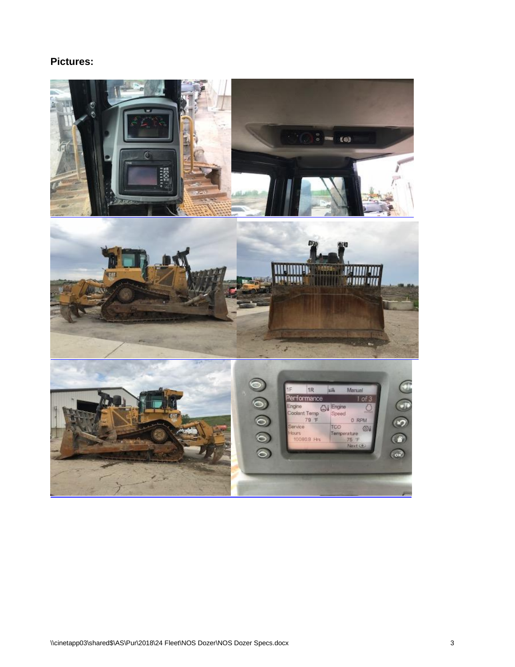## **Pictures:**

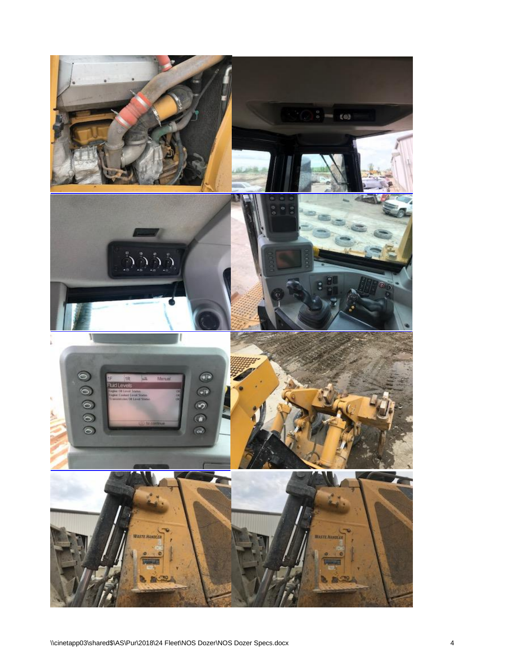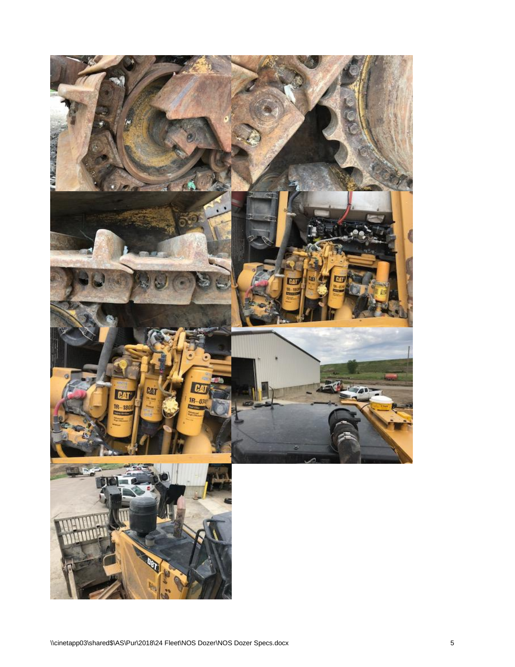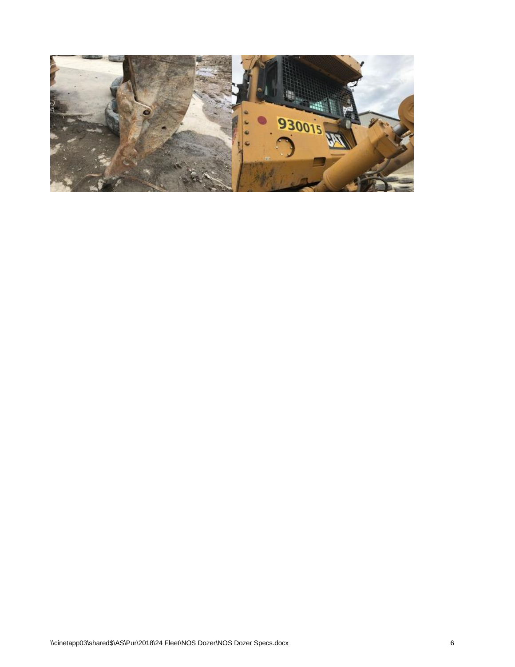